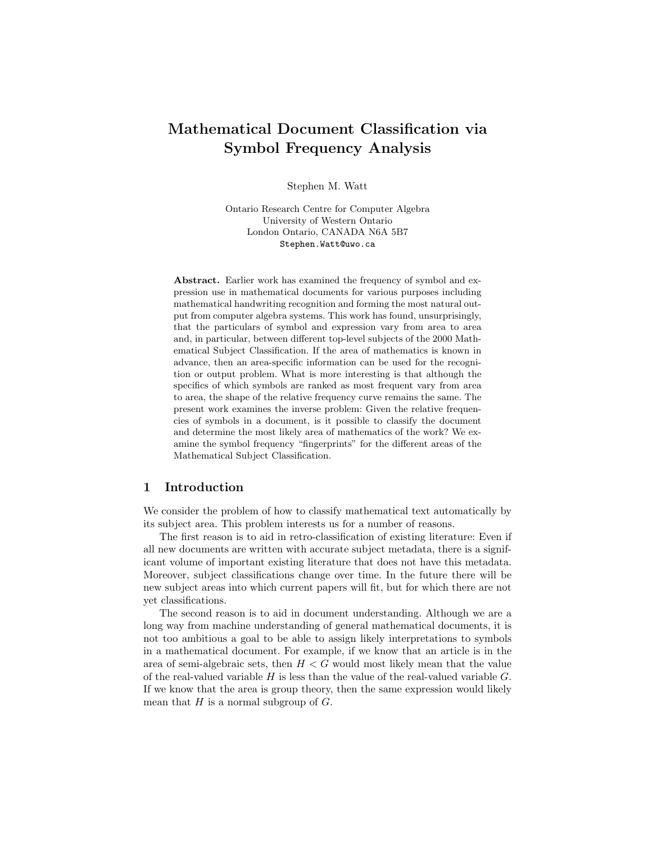# Mathematical Document Classification via Symbol Frequency Analysis

Stephen M. Watt

Ontario Research Centre for Computer Algebra University of Western Ontario London Ontario, CANADA N6A 5B7 Stephen.Watt@uwo.ca

Abstract. Earlier work has examined the frequency of symbol and expression use in mathematical documents for various purposes including mathematical handwriting recognition and forming the most natural output from computer algebra systems. This work has found, unsurprisingly, that the particulars of symbol and expression vary from area to area and, in particular, between different top-level subjects of the 2000 Mathematical Subject Classification. If the area of mathematics is known in advance, then an area-specific information can be used for the recognition or output problem. What is more interesting is that although the specifics of which symbols are ranked as most frequent vary from area to area, the shape of the relative frequency curve remains the same. The present work examines the inverse problem: Given the relative frequencies of symbols in a document, is it possible to classify the document and determine the most likely area of mathematics of the work? We examine the symbol frequency "fingerprints" for the different areas of the Mathematical Subject Classification.

#### 1 Introduction

We consider the problem of how to classify mathematical text automatically by its subject area. This problem interests us for a number of reasons.

The first reason is to aid in retro-classification of existing literature: Even if all new documents are written with accurate subject metadata, there is a significant volume of important existing literature that does not have this metadata. Moreover, subject classifications change over time. In the future there will be new subject areas into which current papers will fit, but for which there are not yet classifications.

The second reason is to aid in document understanding. Although we are a long way from machine understanding of general mathematical documents, it is not too ambitious a goal to be able to assign likely interpretations to symbols in a mathematical document. For example, if we know that an article is in the area of semi-algebraic sets, then  $H < G$  would most likely mean that the value of the real-valued variable  $H$  is less than the value of the real-valued variable  $G$ . If we know that the area is group theory, then the same expression would likely mean that  $H$  is a normal subgroup of  $G$ .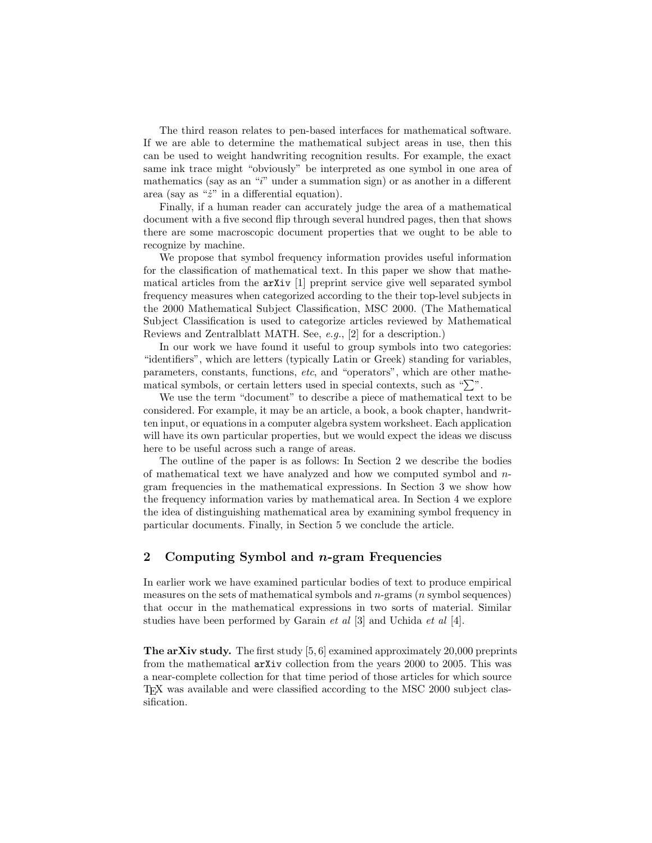The third reason relates to pen-based interfaces for mathematical software. If we are able to determine the mathematical subject areas in use, then this can be used to weight handwriting recognition results. For example, the exact same ink trace might "obviously" be interpreted as one symbol in one area of mathematics (say as an " $i$ " under a summation sign) or as another in a different area (say as " $\dot{z}$ " in a differential equation).

Finally, if a human reader can accurately judge the area of a mathematical document with a five second flip through several hundred pages, then that shows there are some macroscopic document properties that we ought to be able to recognize by machine.

We propose that symbol frequency information provides useful information for the classification of mathematical text. In this paper we show that mathematical articles from the arXiv [1] preprint service give well separated symbol frequency measures when categorized according to the their top-level subjects in the 2000 Mathematical Subject Classification, MSC 2000. (The Mathematical Subject Classification is used to categorize articles reviewed by Mathematical Reviews and Zentralblatt MATH. See, e.g., [2] for a description.)

In our work we have found it useful to group symbols into two categories: "identifiers", which are letters (typically Latin or Greek) standing for variables, parameters, constants, functions, etc, and "operators", which are other mathematical symbols, or certain letters used in special contexts, such as " $\sum$ ".

We use the term "document" to describe a piece of mathematical text to be considered. For example, it may be an article, a book, a book chapter, handwritten input, or equations in a computer algebra system worksheet. Each application will have its own particular properties, but we would expect the ideas we discuss here to be useful across such a range of areas.

The outline of the paper is as follows: In Section 2 we describe the bodies of mathematical text we have analyzed and how we computed symbol and ngram frequencies in the mathematical expressions. In Section 3 we show how the frequency information varies by mathematical area. In Section 4 we explore the idea of distinguishing mathematical area by examining symbol frequency in particular documents. Finally, in Section 5 we conclude the article.

### 2 Computing Symbol and n-gram Frequencies

In earlier work we have examined particular bodies of text to produce empirical measures on the sets of mathematical symbols and  $n$ -grams ( $n$  symbol sequences) that occur in the mathematical expressions in two sorts of material. Similar studies have been performed by Garain *et al* [3] and Uchida *et al* [4].

The arXiv study. The first study [5, 6] examined approximately 20,000 preprints from the mathematical arXiv collection from the years 2000 to 2005. This was a near-complete collection for that time period of those articles for which source TEX was available and were classified according to the MSC 2000 subject classification.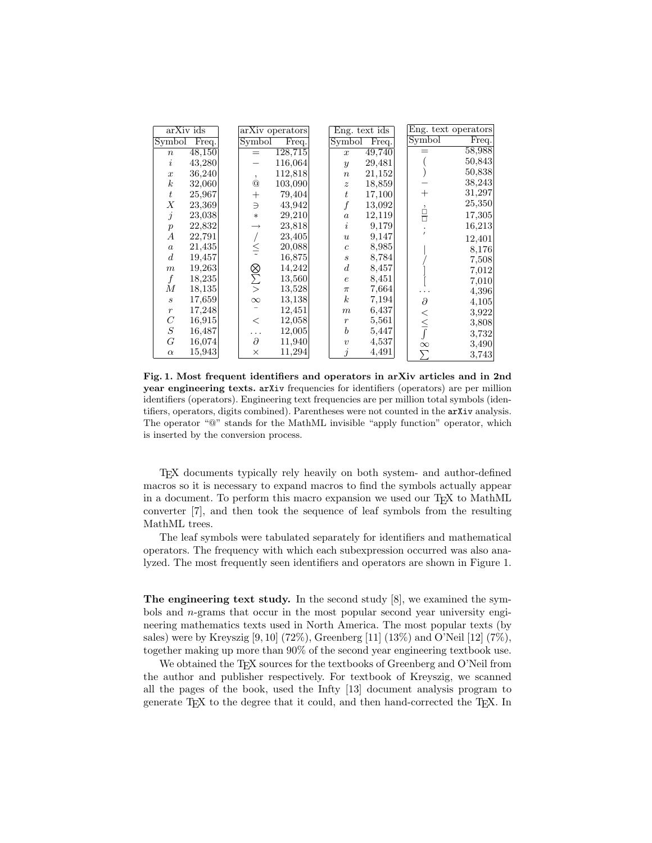| arXiv ids             |        |               | arXiv operators | Eng. text ids    |        |                | Eng. text operators        |
|-----------------------|--------|---------------|-----------------|------------------|--------|----------------|----------------------------|
| Symbol                | Freq.  | Symbol        | Freq.           | Symbol           | Freq.  | Symbol         | $\overline{\text{Freq}}$ . |
| $\,n$                 | 48,150 | $=$           | 128,715         | $\boldsymbol{x}$ | 49,740 |                | 58,988                     |
| $\dot{i}$             | 43,280 |               | 116,064         | $\boldsymbol{y}$ | 29,481 |                | 50,843                     |
| $\boldsymbol{x}$      | 36,240 | $\cdot$       | 112,818         | $\boldsymbol{n}$ | 21,152 |                | 50,838                     |
| $\boldsymbol{k}$      | 32,060 | $^\copyright$ | 103,090         | $\boldsymbol{z}$ | 18,859 |                | 38,243                     |
| $t\,$                 | 25,967 | $^+$          | 79,404          | $\boldsymbol{t}$ | 17,100 | $\overline{+}$ | 31,297                     |
| Χ                     | 23,369 | $\supseteq$   | 43,942          | $\boldsymbol{f}$ | 13,092 | ,              | 25,350                     |
| $\dot{j}$             | 23,038 | $\ast$        | 29,210          | $\boldsymbol{a}$ | 12,119 | Ė              | 17,305                     |
| $\boldsymbol{p}$      | 22,832 |               | 23,818          | $\dot{i}$        | 9,179  |                | 16,213                     |
| А                     | 22,791 |               | 23,405          | $\boldsymbol{u}$ | 9,147  |                | 12,401                     |
| $\boldsymbol{a}$      | 21,435 | $\leq$        | 20,088          | $\overline{c}$   | 8,985  |                | 8,176                      |
| $\boldsymbol{d}$      | 19,457 |               | 16,875          | $\boldsymbol{s}$ | 8,784  |                | 7,508                      |
| $\boldsymbol{m}$      | 19,263 |               | 14,242          | $\boldsymbol{d}$ | 8,457  |                | 7,012                      |
| $\boldsymbol{f}$      | 18,235 | ⊗∠∑           | 13,560          | $\boldsymbol{e}$ | 8,451  |                | 7,010                      |
| М                     | 18,135 |               | 13,528          | $\pi$            | 7,664  |                | 4,396                      |
| $\boldsymbol{s}$      | 17,659 | $\infty$      | 13,138          | $\boldsymbol{k}$ | 7,194  | $\partial$     | 4,105                      |
| $\boldsymbol{r}$      | 17,248 |               | 12,451          | $_{m}$           | 6,437  | $\,<\,$        | 3,922                      |
| $\mathcal{C}_{0}^{0}$ | 16,915 | $\,<\,$       | 12,058          | $\boldsymbol{r}$ | 5,561  |                | 3,808                      |
| $\cal S$              | 16,487 |               | 12,005          | $\boldsymbol{b}$ | 5,447  |                | 3,732                      |
| $\cal G$              | 16,074 | $\partial$    | 11,940          | $\boldsymbol{v}$ | 4,537  | $\infty$       | 3,490                      |
| $\alpha$              | 15,943 | ×             | 11,294          | j                | 4,491  |                | 3,743                      |

Fig. 1. Most frequent identifiers and operators in arXiv articles and in 2nd year engineering texts. arXiv frequencies for identifiers (operators) are per million identifiers (operators). Engineering text frequencies are per million total symbols (identifiers, operators, digits combined). Parentheses were not counted in the arXiv analysis. The operator "@" stands for the MathML invisible "apply function" operator, which is inserted by the conversion process.

TEX documents typically rely heavily on both system- and author-defined macros so it is necessary to expand macros to find the symbols actually appear in a document. To perform this macro expansion we used our T<sub>E</sub>X to MathML converter [7], and then took the sequence of leaf symbols from the resulting MathML trees.

The leaf symbols were tabulated separately for identifiers and mathematical operators. The frequency with which each subexpression occurred was also analyzed. The most frequently seen identifiers and operators are shown in Figure 1.

The engineering text study. In the second study [8], we examined the symbols and n-grams that occur in the most popular second year university engineering mathematics texts used in North America. The most popular texts (by sales) were by Kreyszig  $[9, 10]$  (72%), Greenberg  $[11]$  (13%) and O'Neil  $[12]$  (7%), together making up more than 90% of the second year engineering textbook use.

We obtained the T<sub>E</sub>X sources for the textbooks of Greenberg and O'Neil from the author and publisher respectively. For textbook of Kreyszig, we scanned all the pages of the book, used the Infty [13] document analysis program to generate TEX to the degree that it could, and then hand-corrected the TEX. In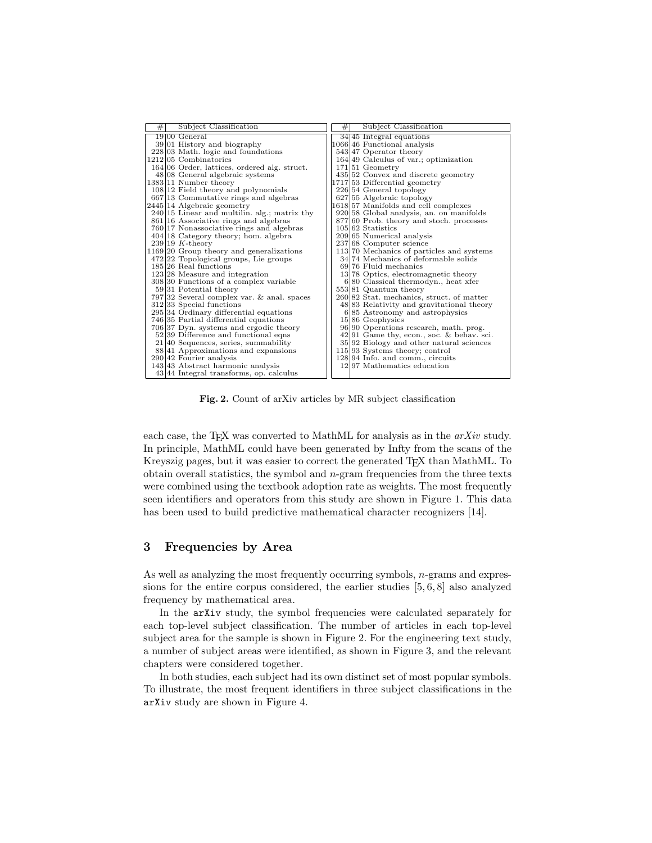| # | Subject Classification                         | # | Subject Classification                      |
|---|------------------------------------------------|---|---------------------------------------------|
|   | 1900 General                                   |   | $34 45$ Integral equations                  |
|   | 39 01 History and biography                    |   | 1066 46 Functional analysis                 |
|   | $228 03$ Math. logic and foundations           |   | 543 47 Operator theory                      |
|   | 1212105 Combinatorics                          |   | $164 49$ Calculus of var.; optimization     |
|   | $164 06$ Order, lattices, ordered alg. struct. |   | $171 51$ Geometry                           |
|   | $48 08$ General algebraic systems              |   | 435 52 Convex and discrete geometry         |
|   | 1383 11 Number theory                          |   | 1717 53 Differential geometry               |
|   | 108 12 Field theory and polynomials            |   | $226 54$ General topology                   |
|   | $667 13$ Commutative rings and algebras        |   | $627 55$ Algebraic topology                 |
|   | 2445 14 Algebraic geometry                     |   | 1618 57 Manifolds and cell complexes        |
|   | $240 15$ Linear and multilin. alg.; matrix thy |   | 920 58 Global analysis, an. on manifolds    |
|   | 861 16 Associative rings and algebras          |   | 877 60 Prob. theory and stoch. processes    |
|   | $760 17$ Nonassociative rings and algebras     |   | $105 62$ Statistics                         |
|   | 404 18 Category theory; hom. algebra           |   | 209 65 Numerical analysis                   |
|   | $239 19 K-theory$                              |   | 237 68 Computer science                     |
|   | $1169 20$ Group theory and generalizations     |   | 113/70 Mechanics of particles and systems   |
|   | $472 22$ Topological groups, Lie groups        |   | 34.74 Mechanics of deformable solids        |
|   | 185 26 Real functions                          |   | 69.76 Fluid mechanics                       |
|   | $123 28$ Measure and integration               |   | 13.78 Optics, electromagnetic theory        |
|   | $308 30$ Functions of a complex variable       |   | $6 80$ Classical thermodyn., heat xfer      |
|   | 59 31 Potential theory                         |   | 553 81 Quantum theory                       |
|   | 797 32 Several complex var. & anal. spaces     |   | 260 82 Stat. mechanics, struct. of matter   |
|   | 312 33 Special functions                       |   | 48 83 Relativity and gravitational theory   |
|   | 295 34 Ordinary differential equations         |   | 6 85 Astronomy and astrophysics             |
|   | 746 35 Partial differential equations          |   | $15 86$ Geophysics                          |
|   | 706 37 Dyn. systems and ergodic theory         |   | 96 90 Operations research, math. prog.      |
|   | 52 39 Difference and functional eqns           |   | $42 91$ Game thy, econ., soc. & behav. sci. |
|   | $21 40$ Sequences, series, summability         |   | $35 92$ Biology and other natural sciences  |
|   | 88.41 Approximations and expansions            |   | $115 93$ Systems theory; control            |
|   | $290 42$ Fourier analysis                      |   | $128 94$ Info. and comm., circuits          |
|   | 143 43 Abstract harmonic analysis              |   | 1297 Mathematics education                  |
|   | $43 44$ Integral transforms, op. calculus      |   |                                             |

Fig. 2. Count of arXiv articles by MR subject classification

each case, the TEX was converted to MathML for analysis as in the  $arXiv$  study. In principle, MathML could have been generated by Infty from the scans of the Kreyszig pages, but it was easier to correct the generated T<sub>E</sub>X than MathML. To obtain overall statistics, the symbol and  $n$ -gram frequencies from the three texts were combined using the textbook adoption rate as weights. The most frequently seen identifiers and operators from this study are shown in Figure 1. This data has been used to build predictive mathematical character recognizers [14].

### 3 Frequencies by Area

As well as analyzing the most frequently occurring symbols, *n*-grams and expressions for the entire corpus considered, the earlier studies [5, 6, 8] also analyzed frequency by mathematical area.

In the arXiv study, the symbol frequencies were calculated separately for each top-level subject classification. The number of articles in each top-level subject area for the sample is shown in Figure 2. For the engineering text study, a number of subject areas were identified, as shown in Figure 3, and the relevant chapters were considered together.

In both studies, each subject had its own distinct set of most popular symbols. To illustrate, the most frequent identifiers in three subject classifications in the arXiv study are shown in Figure 4.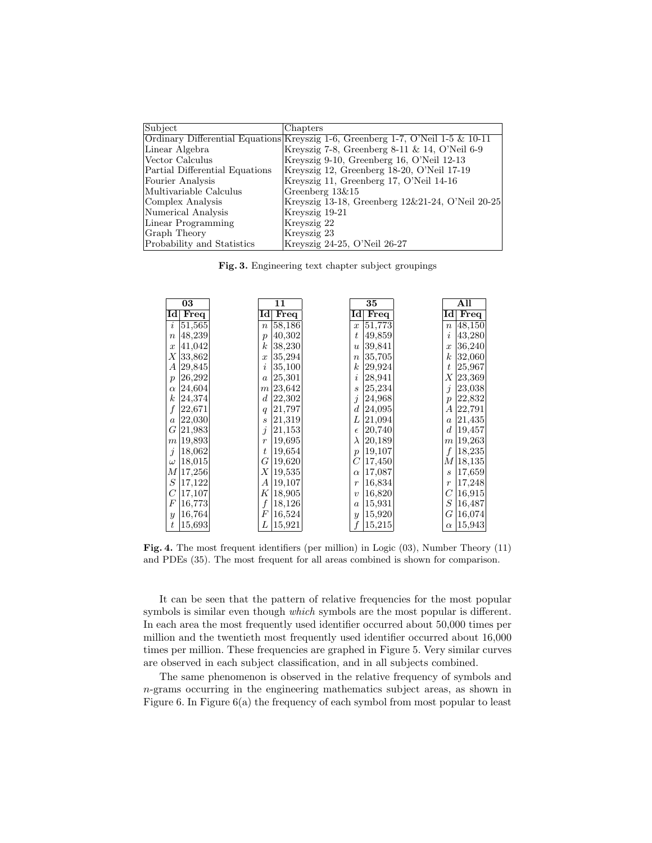| Subject                        | Chapters                                                                        |
|--------------------------------|---------------------------------------------------------------------------------|
|                                | Ordinary Differential Equations Kreyszig 1-6, Greenberg 1-7, O'Neil 1-5 & 10-11 |
| Linear Algebra                 | Kreyszig 7-8, Greenberg 8-11 $\&$ 14, O'Neil 6-9                                |
| Vector Calculus                | Kreyszig 9-10, Greenberg 16, O'Neil 12-13                                       |
| Partial Differential Equations | Kreyszig 12, Greenberg 18-20, O'Neil 17-19                                      |
| Fourier Analysis               | Kreyszig 11, Greenberg 17, O'Neil 14-16                                         |
| Multivariable Calculus         | Greenberg $13\&15$                                                              |
| Complex Analysis               | Kreyszig 13-18, Greenberg 12&21-24, O'Neil 20-25                                |
| Numerical Analysis             | Kreyszig 19-21                                                                  |
| Linear Programming             | Kreyszig 22                                                                     |
| Graph Theory                   | Kreyszig 23                                                                     |
| Probability and Statistics     | Kreyszig 24-25, O'Neil 26-27                                                    |

Fig. 3. Engineering text chapter subject groupings

| 03               | 11               | 35                      | $\overline{All}$ |
|------------------|------------------|-------------------------|------------------|
| Id               | Id               | Idl                     | Idl              |
| Freq             | Freq             | Freq                    | Freq             |
| 51,565           | 58,186           | 51,773                  | 48,150           |
| $\dot{i}$        | $\boldsymbol{n}$ | $\boldsymbol{x}$        | $\boldsymbol{n}$ |
| 48,239           | 40,302           | 49,859                  | 43,280           |
| $\boldsymbol{n}$ | $\boldsymbol{p}$ | $\boldsymbol{t}$        | $\imath$         |
| 41,042           | $\boldsymbol{k}$ | 39,841                  | 36,240           |
| $\boldsymbol{x}$ | 38,230           | $\boldsymbol{u}$        | $\boldsymbol{x}$ |
| Х                | 35,294           | 35,705                  | $\boldsymbol{k}$ |
| 33,862           | $\boldsymbol{x}$ | $\boldsymbol{n}$        | 32,060           |
| А                | 35,100           | $\boldsymbol{k}$        | 25,967           |
| 29,845           | i                | 29,924                  | t                |
| 26,292           | 25,301           | i                       | Χ                |
| $\boldsymbol{p}$ | $\boldsymbol{a}$ | 28,941                  | 23,369           |
| 24,604           | m 23,642         | 25,234                  | j                |
| $\alpha$         |                  | $\boldsymbol{s}$        | 23,038           |
| $\boldsymbol{k}$ | 22,302           | $\dot{j}$               | 22,832           |
| 24,374           | $\boldsymbol{d}$ | 24,968                  | $\mathcal{p}$    |
| f                | 21,797           | $\boldsymbol{d}$        | 22,791           |
| 22,671           | q                | 24,095                  | А                |
| 22,030           | 21,319           | L                       | 21,435           |
| $\boldsymbol{a}$ | $\boldsymbol{s}$ | 21,094                  | $\boldsymbol{a}$ |
| G                | j                | 20,740                  | $\boldsymbol{d}$ |
| 21,983           | 21,153           | $\epsilon$              | 19,457           |
| 19,893           | 19,695           | λ                       | m 19,263         |
| $_{m}$           | $\overline{r}$   | 20,189                  |                  |
| $\dot{j}$        | 19,654           | 19,107                  | 18,235           |
| 18,062           | t                | $\boldsymbol{p}$        | f                |
| 18,015           | 19,620           | $\,C$                   | M 18,135         |
| $\omega$         | G                | $\left 17,\!450\right $ |                  |
| 17,256           | 19,535           | 17,087                  | 17,659           |
| М                | Χ                | $\alpha$                | S                |
| $\cal S$         | 19,107           | 16,834                  | 17,248           |
| 17,122           | А                | $\boldsymbol{r}$        | $\boldsymbol{r}$ |
| $\,$ $\,$        | Κ                | 16,820                  | C                |
| 17,107           | 18,905           | $\boldsymbol{v}$        | 16,915           |
| $\boldsymbol{F}$ | 18,126           | 15,931                  | S                |
| 16,773           | f                | $\boldsymbol{a}$        | 16,487           |
| 16,764           | F                | 15,920                  | G                |
| $\mathcal{Y}$    | 16,524           | $\boldsymbol{y}$        | 16,074           |
| 15,693           | L                | $\boldsymbol{f}$        | 15,943           |
| $\boldsymbol{t}$ | 15,921           | 15,215                  | $\alpha$         |

Fig. 4. The most frequent identifiers (per million) in Logic (03), Number Theory (11) and PDEs (35). The most frequent for all areas combined is shown for comparison.

It can be seen that the pattern of relative frequencies for the most popular symbols is similar even though *which* symbols are the most popular is different. In each area the most frequently used identifier occurred about 50,000 times per million and the twentieth most frequently used identifier occurred about 16,000 times per million. These frequencies are graphed in Figure 5. Very similar curves are observed in each subject classification, and in all subjects combined.

The same phenomenon is observed in the relative frequency of symbols and n-grams occurring in the engineering mathematics subject areas, as shown in Figure 6. In Figure 6(a) the frequency of each symbol from most popular to least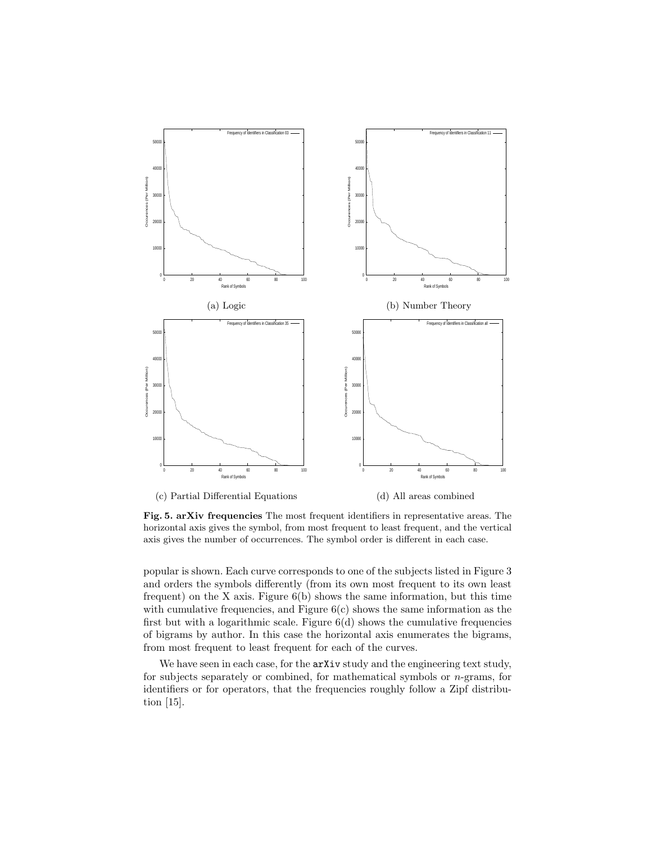

Fig. 5. arXiv frequencies The most frequent identifiers in representative areas. The horizontal axis gives the symbol, from most frequent to least frequent, and the vertical axis gives the number of occurrences. The symbol order is different in each case.

popular is shown. Each curve corresponds to one of the subjects listed in Figure 3 and orders the symbols differently (from its own most frequent to its own least frequent) on the X axis. Figure 6(b) shows the same information, but this time with cumulative frequencies, and Figure  $6(c)$  shows the same information as the first but with a logarithmic scale. Figure  $6(d)$  shows the cumulative frequencies of bigrams by author. In this case the horizontal axis enumerates the bigrams, from most frequent to least frequent for each of the curves.

We have seen in each case, for the  $arXiv$  study and the engineering text study, for subjects separately or combined, for mathematical symbols or n-grams, for identifiers or for operators, that the frequencies roughly follow a Zipf distribution [15].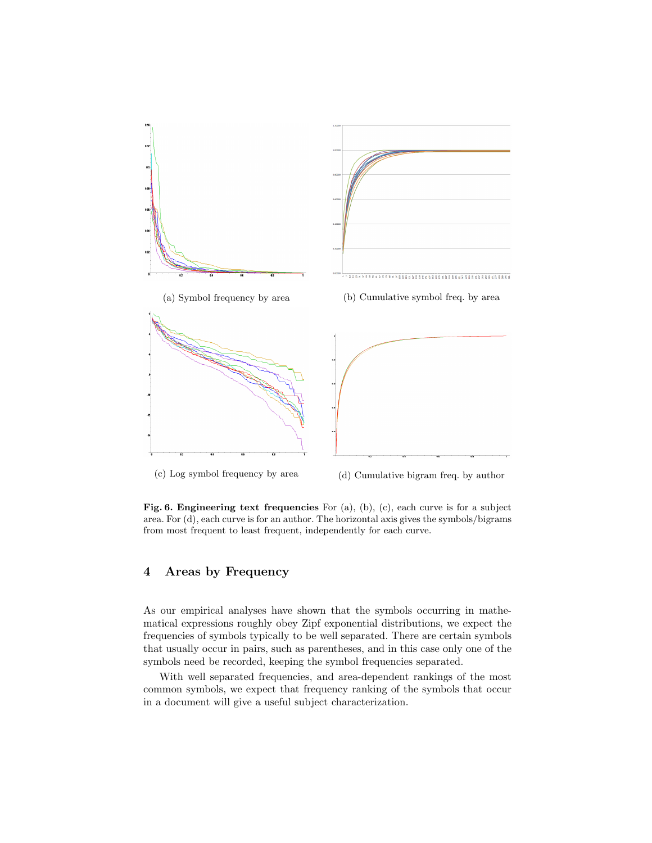

Fig. 6. Engineering text frequencies For (a), (b), (c), each curve is for a subject area. For (d), each curve is for an author. The horizontal axis gives the symbols/bigrams from most frequent to least frequent, independently for each curve.

## 4 Areas by Frequency

As our empirical analyses have shown that the symbols occurring in mathematical expressions roughly obey Zipf exponential distributions, we expect the frequencies of symbols typically to be well separated. There are certain symbols that usually occur in pairs, such as parentheses, and in this case only one of the symbols need be recorded, keeping the symbol frequencies separated.

With well separated frequencies, and area-dependent rankings of the most common symbols, we expect that frequency ranking of the symbols that occur in a document will give a useful subject characterization.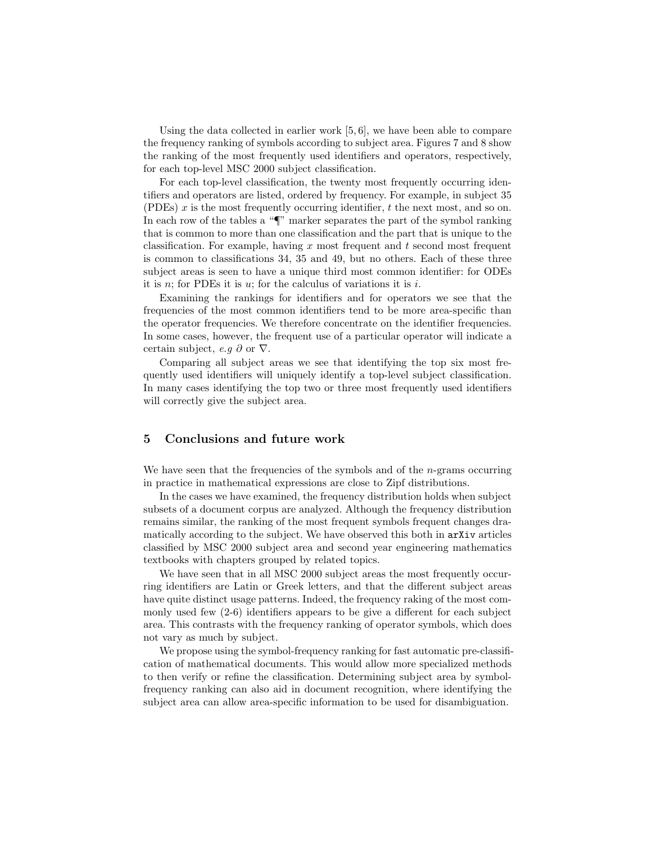Using the data collected in earlier work  $[5, 6]$ , we have been able to compare the frequency ranking of symbols according to subject area. Figures 7 and 8 show the ranking of the most frequently used identifiers and operators, respectively, for each top-level MSC 2000 subject classification.

For each top-level classification, the twenty most frequently occurring identifiers and operators are listed, ordered by frequency. For example, in subject 35 (PDEs)  $x$  is the most frequently occurring identifier,  $t$  the next most, and so on. In each row of the tables a "¶" marker separates the part of the symbol ranking that is common to more than one classification and the part that is unique to the classification. For example, having  $x$  most frequent and  $t$  second most frequent is common to classifications 34, 35 and 49, but no others. Each of these three subject areas is seen to have a unique third most common identifier: for ODEs it is n; for PDEs it is u; for the calculus of variations it is i.

Examining the rankings for identifiers and for operators we see that the frequencies of the most common identifiers tend to be more area-specific than the operator frequencies. We therefore concentrate on the identifier frequencies. In some cases, however, the frequent use of a particular operator will indicate a certain subject, e.g  $\partial$  or  $\nabla$ .

Comparing all subject areas we see that identifying the top six most frequently used identifiers will uniquely identify a top-level subject classification. In many cases identifying the top two or three most frequently used identifiers will correctly give the subject area.

### 5 Conclusions and future work

We have seen that the frequencies of the symbols and of the  $n$ -grams occurring in practice in mathematical expressions are close to Zipf distributions.

In the cases we have examined, the frequency distribution holds when subject subsets of a document corpus are analyzed. Although the frequency distribution remains similar, the ranking of the most frequent symbols frequent changes dramatically according to the subject. We have observed this both in arXiv articles classified by MSC 2000 subject area and second year engineering mathematics textbooks with chapters grouped by related topics.

We have seen that in all MSC 2000 subject areas the most frequently occurring identifiers are Latin or Greek letters, and that the different subject areas have quite distinct usage patterns. Indeed, the frequency raking of the most commonly used few (2-6) identifiers appears to be give a different for each subject area. This contrasts with the frequency ranking of operator symbols, which does not vary as much by subject.

We propose using the symbol-frequency ranking for fast automatic pre-classification of mathematical documents. This would allow more specialized methods to then verify or refine the classification. Determining subject area by symbolfrequency ranking can also aid in document recognition, where identifying the subject area can allow area-specific information to be used for disambiguation.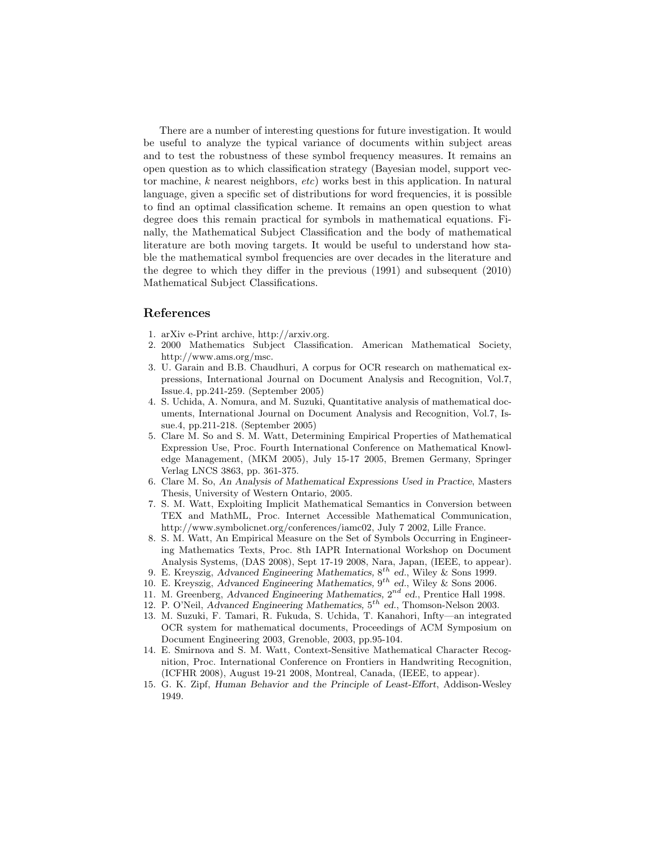There are a number of interesting questions for future investigation. It would be useful to analyze the typical variance of documents within subject areas and to test the robustness of these symbol frequency measures. It remains an open question as to which classification strategy (Bayesian model, support vector machine,  $k$  nearest neighbors,  $etc$ ) works best in this application. In natural language, given a specific set of distributions for word frequencies, it is possible to find an optimal classification scheme. It remains an open question to what degree does this remain practical for symbols in mathematical equations. Finally, the Mathematical Subject Classification and the body of mathematical literature are both moving targets. It would be useful to understand how stable the mathematical symbol frequencies are over decades in the literature and the degree to which they differ in the previous (1991) and subsequent (2010) Mathematical Subject Classifications.

#### References

- 1. arXiv e-Print archive, http://arxiv.org.
- 2. 2000 Mathematics Subject Classification. American Mathematical Society, http://www.ams.org/msc.
- 3. U. Garain and B.B. Chaudhuri, A corpus for OCR research on mathematical expressions, International Journal on Document Analysis and Recognition, Vol.7, Issue.4, pp.241-259. (September 2005)
- 4. S. Uchida, A. Nomura, and M. Suzuki, Quantitative analysis of mathematical documents, International Journal on Document Analysis and Recognition, Vol.7, Issue.4, pp.211-218. (September 2005)
- 5. Clare M. So and S. M. Watt, Determining Empirical Properties of Mathematical Expression Use, Proc. Fourth International Conference on Mathematical Knowledge Management, (MKM 2005), July 15-17 2005, Bremen Germany, Springer Verlag LNCS 3863, pp. 361-375.
- 6. Clare M. So, An Analysis of Mathematical Expressions Used in Practice, Masters Thesis, University of Western Ontario, 2005.
- 7. S. M. Watt, Exploiting Implicit Mathematical Semantics in Conversion between TEX and MathML, Proc. Internet Accessible Mathematical Communication, http://www.symbolicnet.org/conferences/iamc02, July 7 2002, Lille France.
- 8. S. M. Watt, An Empirical Measure on the Set of Symbols Occurring in Engineering Mathematics Texts, Proc. 8th IAPR International Workshop on Document Analysis Systems, (DAS 2008), Sept 17-19 2008, Nara, Japan, (IEEE, to appear).
- 9. E. Kreyszig, Advanced Engineering Mathematics,  $8^{th}$  ed., Wiley & Sons 1999.
- 10. E. Kreyszig, Advanced Engineering Mathematics,  $9^{th}$  ed., Wiley & Sons 2006.
- 11. M. Greenberg, Advanced Engineering Mathematics,  $2^{nd}$  ed., Prentice Hall 1998.
- 12. P. O'Neil, Advanced Engineering Mathematics,  $5^{th}$  ed., Thomson-Nelson 2003.
- 13. M. Suzuki, F. Tamari, R. Fukuda, S. Uchida, T. Kanahori, Infty—an integrated OCR system for mathematical documents, Proceedings of ACM Symposium on Document Engineering 2003, Grenoble, 2003, pp.95-104.
- 14. E. Smirnova and S. M. Watt, Context-Sensitive Mathematical Character Recognition, Proc. International Conference on Frontiers in Handwriting Recognition, (ICFHR 2008), August 19-21 2008, Montreal, Canada, (IEEE, to appear).
- 15. G. K. Zipf, Human Behavior and the Principle of Least-Effort, Addison-Wesley 1949.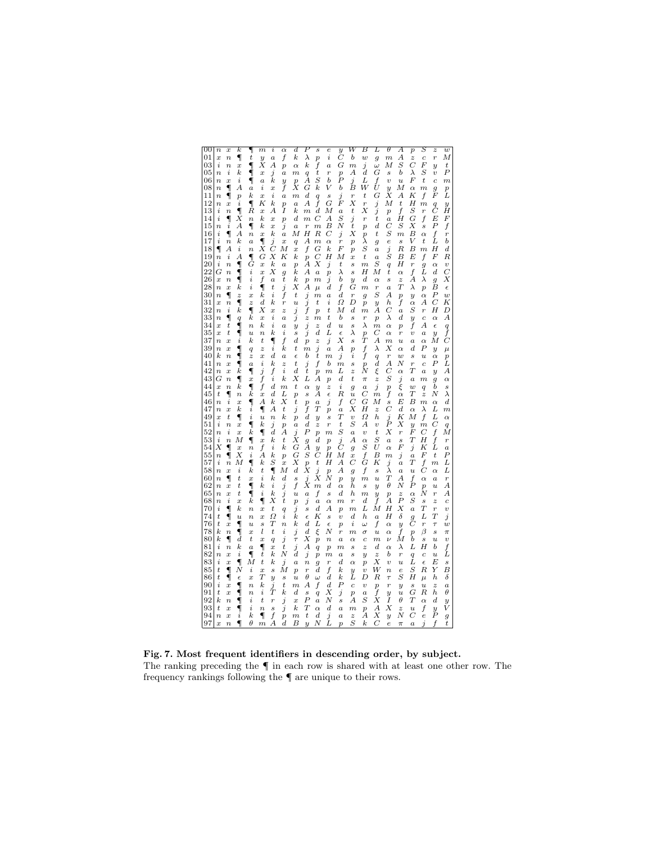| 00       | $\overline{n}$<br>$\boldsymbol{x}$                                         | k                     | ¶                                    | $\boldsymbol{m}$<br>i                                       | $\alpha$                           | d                                    | Ρ<br>$\boldsymbol{s}$                                             | e                                  | $\overline{y}$                     | W                                    | В                                             | L                                             | θ                                | Α                                       | $\overline{p}$                     | S                                             | $\boldsymbol{z}$                     | $\boldsymbol{w}$                   |
|----------|----------------------------------------------------------------------------|-----------------------|--------------------------------------|-------------------------------------------------------------|------------------------------------|--------------------------------------|-------------------------------------------------------------------|------------------------------------|------------------------------------|--------------------------------------|-----------------------------------------------|-----------------------------------------------|----------------------------------|-----------------------------------------|------------------------------------|-----------------------------------------------|--------------------------------------|------------------------------------|
| 01<br>03 | $\overline{x}$<br>$\boldsymbol{n}$<br>i<br>$\boldsymbol{n}$                | ¶<br>$\boldsymbol{x}$ | $\boldsymbol{t}$<br>٩                | $\boldsymbol{a}$<br>$\boldsymbol{y}$<br>Ā<br>$\overline{A}$ | f<br>$\overline{p}$                | k<br>$\alpha$                        | λ<br>$\overline{p}$<br>$\hat{\boldsymbol{f}}$<br>$\boldsymbol{k}$ | i<br>$\boldsymbol{a}$              | $\scriptstyle C$<br>G              | b<br>$\overline{m}$                  | $\boldsymbol{w}$<br>$\boldsymbol{j}$          | $\overline{g}$<br>$\omega$                    | $\boldsymbol{m}$<br>М            | А<br>$\scriptstyle S$                   | $\boldsymbol{z}$<br>Ċ              | $\overline{c}$<br>F                           | $\overline{r}$<br>$\boldsymbol{y}$   | М<br>$\boldsymbol{t}$              |
| 05       | i<br>$\overline{n}$                                                        | k                     | ٩                                    | j<br>$\boldsymbol{x}$                                       | $\boldsymbol{a}$                   | $\overline{m}$                       | t<br>$\overline{q}$<br>$_{\scriptscriptstyle S}$                  | $\overline{r}$                     | $\overline{p}$<br>P                | А                                    | $_{d}$<br>L                                   | G                                             | s                                | b                                       | λ<br>F                             | $_{\scriptscriptstyle S}$<br>$\boldsymbol{t}$ | $\boldsymbol{v}$                     | Р                                  |
| 06<br>08 | $\overline{n}$<br>$\boldsymbol{x}$<br>¶<br>$\boldsymbol{n}$                | i<br>А                | 1<br>$\boldsymbol{a}$                | k<br>$\overline{a}$<br>i<br>$\overline{x}$                  | $\overline{y}$<br>f                | $\overline{p}$<br>Х                  | А<br>G<br>k                                                       | b<br>V                             | b                                  | j<br>В                               | W                                             | f<br>$\acute{t}$                              | $\overline{v}$<br>$\overline{y}$ | $\overline{u}$<br>М                     | $\alpha$                           | $\overline{m}$                                | $\overline{c}$<br>$\overline{q}$     | $_{m}$<br>$\boldsymbol{p}$         |
| 11       | ¶<br>$\boldsymbol{n}$                                                      | $\boldsymbol{p}$      | k                                    | $\it i$<br>$\overline{x}$                                   | $\boldsymbol{a}$                   | $\boldsymbol{m}$                     | $\boldsymbol{d}$<br>$\overline{q}$                                | $\boldsymbol{s}$<br>G              | j<br>F                             | $\overline{r}$<br>X                  | $\boldsymbol{t}$                              | G                                             | Ā                                | $\overline{A}$                          | Κ<br>Η                             | f                                             | F                                    | L                                  |
| 12<br>13 | $\overline{n}$<br>$\boldsymbol{x}$<br>i<br>$\boldsymbol{n}$                | i<br>¶                | ¶<br>R                               | К<br>k<br>А<br>$\overline{x}$                               | p<br>Ι                             | $\overline{a}$<br>k                  | f<br>А<br>$\boldsymbol{d}$<br>$\boldsymbol{m}$                    | М                                  | $\boldsymbol{a}$                   | $\boldsymbol{t}$                     | $\boldsymbol{r}$<br>Х                         | j<br>j                                        | М<br>$\boldsymbol{p}$            | $\bar{t}$<br>f                          | S                                  | $\overline{m}$<br>$\boldsymbol{r}$            | $\overset{q}{C}$                     | $\boldsymbol{y}$<br>Η              |
| 14       | ¶<br>i                                                                     | Х                     | $\overline{n}$                       | k<br>$\boldsymbol{x}$                                       | $\overline{p}$                     | $_{d}$                               | C<br>$\boldsymbol{m}$                                             | А                                  | $\scriptstyle S$                   | j                                    | $\overline{r}$                                | $\boldsymbol{t}$                              | $\boldsymbol{a}$                 | Η                                       | G                                  | f                                             | E                                    | F                                  |
| 15<br>16 | i<br>$\boldsymbol{n}$<br>¶<br>i                                            | А<br>А                | ¶<br>$\boldsymbol{n}$                | k<br>$\boldsymbol{x}$<br>k<br>$\overline{x}$                | j<br>$\boldsymbol{a}$              | $\overline{a}$<br>М                  | $\boldsymbol{r}$<br>$\overline{m}$<br>Η<br>R                      | В<br>C                             | Ν<br>j                             | $\boldsymbol{t}$<br>Х                | $\overline{p}$<br>$\boldsymbol{p}$            | d<br>$\boldsymbol{t}$                         | C<br>$\mathcal{S}_{0}^{(n)}$     | S<br>$\boldsymbol{m}$                   | Х<br>В                             | s<br>$\alpha$                                 | Р                                    | f<br>$\boldsymbol{r}$              |
| 17       | i<br>$\overline{n}$                                                        | k                     | $\overline{a}$                       | 1<br>j<br>Č                                                 | $\boldsymbol{x}$                   | $\overline{q}$                       | А<br>$\overline{m}$                                               | $\alpha$                           | $\overline{r}$                     | $\overline{p}$                       | λ                                             | $\overline{g}$                                | $\epsilon$                       | $\boldsymbol{s}$                        | V                                  | t.                                            | $L^f$                                | ь                                  |
| 18<br>19 | ¶<br>А<br>i<br>$\overline{n}$                                              | i<br>А                | $\boldsymbol{n}$<br>¶                | Х<br>X<br>G                                                 | М<br>Κ                             | $\boldsymbol{x}$<br>$_{k}$           | f<br>G<br>C<br>$\overline{p}$                                     | k<br>Η                             | F<br>М                             | $\boldsymbol{p}$<br>$\overline{x}$   | S<br>$\boldsymbol{t}$                         | $\boldsymbol{a}$<br>$\overline{a}$            | $\frac{j}{S}$                    | R<br>В                                  | В<br>E                             | $\boldsymbol{m}$<br>f                         | Η<br>F                               | $_{d}$<br>R                        |
| 20       | i<br>$\boldsymbol{n}$                                                      | ¶                     | G                                    | k<br>$\boldsymbol{x}$                                       | $\overline{a}$                     | $\overline{p}$                       | А<br>Х                                                            | j                                  | $\boldsymbol{t}$                   | $\boldsymbol{s}$                     | $\overline{m}$                                | S                                             | $\overline{q}$                   | Η                                       | $\overline{r}$                     | $\overline{q}$                                | $\alpha$                             | $\overline{v}$                     |
| 22<br>26 | G<br>$\boldsymbol{n}$<br>$\boldsymbol{x}$<br>$\overline{n}$                | ¶<br>¶                | $\dot{i}$<br>i                       | Х<br>$\boldsymbol{x}$<br>f<br>$\boldsymbol{a}$              | $\overline{g}$<br>$\boldsymbol{t}$ | $_{k}$<br>k                          | А<br>$\overline{a}$<br>$\boldsymbol{p}$<br>$_{m}$                 | $\overline{p}$<br>İ                | λ<br>b                             | $\boldsymbol{s}$<br>$\overline{y}$   | Η<br>$\boldsymbol{d}$                         | М<br>$\alpha$                                 | $\boldsymbol{t}$<br>s            | $\alpha$<br>$\boldsymbol{z}$            | f<br>А                             | L<br>λ                                        | $\boldsymbol{d}$<br>g                | C<br>Х                             |
| 28       | $\boldsymbol{n}$<br>$\boldsymbol{x}$                                       | k                     | i                                    | ¶<br>t                                                      | j                                  | Х                                    | А<br>$\mu$                                                        | d                                  | f                                  | Ğ                                    | $\overline{m}$                                | $\overline{r}$                                | $\boldsymbol{a}$                 | Т                                       | λ                                  | $\overline{p}$                                | B                                    | $\epsilon$                         |
| 30<br>31 | ¶<br>$\boldsymbol{n}$<br>$\boldsymbol{x}$<br>$\boldsymbol{n}$              | $\boldsymbol{z}$<br>¶ | $\boldsymbol{x}$<br>$\boldsymbol{z}$ | $_{k}$<br>i<br>$_{d}$<br>k                                  | f<br>$\overline{r}$                | $\boldsymbol{t}$<br>$\boldsymbol{u}$ | j<br>$\boldsymbol{m}$<br>$\boldsymbol{t}$<br>Ĵ                    | $\boldsymbol{a}$<br>i              | $\boldsymbol{d}$<br>Ω              | $\boldsymbol{r}$<br>D                | $\boldsymbol{g}$<br>$\boldsymbol{p}$          | $_{\scriptscriptstyle S}$<br>y                | А<br>h                           | $\overline{p}$<br>f                     | $\overline{y}$<br>$\alpha$         | $\alpha$<br>А                                 | Р<br>$\overline{C}$                  | $\boldsymbol{w}$<br>Κ              |
| 32       | i<br>$\overline{n}$                                                        | k                     | ¶                                    | Χ<br>$\boldsymbol{x}$                                       | $\boldsymbol{z}$                   | j                                    | f<br>$\overline{p}$                                               | $\boldsymbol{t}$                   | М                                  | $_{d}$                               | $\overline{m}$                                | А                                             | C                                | $\overline{a}$                          | S                                  | $\boldsymbol{r}$                              | Η                                    | D                                  |
| 33<br>34 | ¶<br>$\overline{n}$<br>$\boldsymbol{t}$<br>$\boldsymbol{x}$                | $\overline{q}$<br>¶   | k<br>$\boldsymbol{n}$                | i<br>$\boldsymbol{x}$<br>$_{k}$<br>i                        | $\overline{a}$<br>$\boldsymbol{a}$ | j<br>$\boldsymbol{y}$                | $\boldsymbol{z}$<br>$\overline{m}$<br>Ĵ<br>$\boldsymbol{z}$       | $\boldsymbol{t}$<br>$_{d}$         | b<br>$\overline{u}$                | s<br>s                               | $\boldsymbol{r}$<br>λ                         | $\overline{p}$<br>$_{m}$                      | λ<br>$\alpha$                    | d<br>$\boldsymbol{p}$                   | $\overline{y}$<br>f                | $\overline{c}$<br>А                           | $\alpha$<br>$\epsilon$               | А<br>$\boldsymbol{q}$              |
| 35       | t<br>$\boldsymbol{x}$                                                      | ¶                     | $\boldsymbol{\mathcal{u}}$           | k<br>$\overline{n}$                                         | i                                  | $\boldsymbol{s}$                     | d<br>j                                                            | L                                  | $\epsilon$                         | λ                                    | $\boldsymbol{p}$                              | C                                             | $\alpha$                         | $\overline{r}$                          | $\boldsymbol{v}$                   | $\overline{a}$                                | $\boldsymbol{y}$                     | $\dot{f}$                          |
| 37<br>39 | $\boldsymbol{n}$<br>$\boldsymbol{x}$<br>$\overline{n}$<br>$\overline{x}$   | i<br>¶                | k<br>$\overline{q}$                  | ¶<br>t<br>i<br>$\boldsymbol{z}$                             | f<br>$_{k}$                        | d<br>$\boldsymbol{t}$                | $\boldsymbol{p}$<br>$\boldsymbol{z}$<br>j<br>$\overline{m}$       | j<br>$\boldsymbol{a}$              | Х<br>А                             | $\boldsymbol{s}$<br>$\overline{p}$   | $\bar{T}$<br>f                                | А<br>λ                                        | $_{m}$<br>Х                      | $\boldsymbol{u}$<br>$\alpha$            | $\it a$<br>d                       | $\alpha$<br>Р                                 | М<br>$\boldsymbol{y}$                | Ć<br>$\mu$                         |
| 40       | $_{k}$<br>$\boldsymbol{n}$                                                 | ¶                     | $\boldsymbol{z}$                     | $_{d}$<br>$\overline{x}$                                    | $\overline{a}$                     | $\epsilon$                           | b<br>$\boldsymbol{t}$                                             | $\overline{m}$                     | j                                  | i                                    | f                                             | $\boldsymbol{q}$                              | $\boldsymbol{r}$                 | $\boldsymbol{w}$                        | $\boldsymbol{s}$                   | $\boldsymbol{u}$                              | $\alpha$                             | $\boldsymbol{p}$                   |
| 41<br>42 | $\overline{n}$<br>$\overline{x}$<br>$\overline{n}$<br>$\overline{x}$       | ¶<br>k                | $\overline{a}$<br>¶                  | $\dot{i}$<br>k<br>f<br>j                                    | $\overline{z}$<br>i                | $\boldsymbol{t}$<br>$\boldsymbol{d}$ | f<br>j<br>t<br>$\boldsymbol{p}$                                   | b<br>$_{m}$                        | $\overline{m}$<br>L                | $\boldsymbol{s}$<br>$\boldsymbol{z}$ | $\overline{p}$<br>Ñ                           | d<br>ξ                                        | А<br>C                           | Ν<br>$\alpha$                           | $\overline{r}$<br>$\scriptstyle T$ | $\overline{c}$<br>$\overline{a}$              | Р<br>$\overline{y}$                  | L<br>А                             |
| 43       | G<br>$\boldsymbol{n}$                                                      | ¶                     | $\overline{x}$                       | f<br>i                                                      | k                                  | Х                                    | L<br>А                                                            | $\boldsymbol{p}$                   | d                                  | $\boldsymbol{t}$                     | π                                             | $\boldsymbol{z}$                              | $_{\scriptscriptstyle S}$        | $\jmath$                                | $\boldsymbol{a}$                   | $_{m}$                                        | $\boldsymbol{g}$                     | $\alpha$                           |
| 44<br>45 | $\overline{x}$<br>$\boldsymbol{n}$<br>t<br>1                               | k<br>$\boldsymbol{n}$ | ¶<br>k                               | f<br>$_{d}$<br>$_{d}$<br>$\boldsymbol{x}$                   | $\overline{m}$<br>L                | $\boldsymbol{t}$<br>$\boldsymbol{p}$ | $\alpha$<br>$\boldsymbol{y}$<br>А<br>$\boldsymbol{s}$             | $\boldsymbol{z}$<br>$\epsilon$     | i<br>R                             | $\overline{g}$<br>$\overline{u}$     | $\boldsymbol{a}$<br>C                         | j<br>$\boldsymbol{m}$                         | $\overline{p}$<br>f              | ξ<br>$\alpha$                           | $\overline{w}$<br>Т                | $\boldsymbol{q}$<br>$\boldsymbol{z}$          | $\bar{b}$<br>Ν                       | $\boldsymbol{s}$<br>λ              |
| 46       | $\overline{n}$<br>i                                                        | $\boldsymbol{x}$      | ¶                                    | А<br>k                                                      | Χ                                  | $\boldsymbol{t}$                     | $\boldsymbol{a}$<br>$\boldsymbol{p}$                              | j                                  | f                                  | C                                    | Ġ                                             | М                                             | $\boldsymbol{s}$                 | E                                       | В                                  | $\boldsymbol{m}$                              | $\alpha$                             | d                                  |
| 47<br>49 | $\overline{n}$<br>$\boldsymbol{x}$<br>$\boldsymbol{t}$<br>$\boldsymbol{x}$ | k<br>¶                | i<br>i                               | ¶<br>А<br>$\boldsymbol{u}$<br>$\boldsymbol{n}$              | $\boldsymbol{t}$<br>k              | j<br>$\boldsymbol{p}$                | Т<br>f<br>d<br>$\boldsymbol{y}$                                   | $\overline{p}$<br>s                | $\overline{a}$<br>Т                | Х<br>$\upsilon$                      | Η<br>Ω                                        | $\boldsymbol{z}$<br>h                         | C                                | $\boldsymbol{d}$<br>Κ                   | $\alpha$<br>М                      | λ<br>f                                        | L<br>L                               | $\overline{m}$<br>$\alpha$         |
| 51       | i.<br>$\boldsymbol{n}$                                                     | $\boldsymbol{x}$      | ¶                                    | k<br>j                                                      | $\boldsymbol{p}$                   | $\boldsymbol{a}$                     | $_{d}$<br>$\boldsymbol{z}$                                        | $\overline{r}$                     | $\boldsymbol{t}$                   | $_{\scriptscriptstyle S}$            | $\overline{A}$                                | $\overline{v}$                                | j<br>P                           | Х                                       | $\overline{y}$                     | $\boldsymbol{m}$                              | C                                    | $\boldsymbol{q}$                   |
| 52<br>53 | $\overline{n}$<br>i<br>i<br>$\boldsymbol{n}$                               | $\boldsymbol{x}$<br>М | k<br>¶                               | 1<br>d<br>k<br>$\boldsymbol{x}$                             | А<br>$\boldsymbol{t}$              | $\stackrel{j}{X}$                    | Ρ<br>$\boldsymbol{p}$<br>$_{d}$<br>$\boldsymbol{g}$               | $\overline{m}$<br>$\boldsymbol{p}$ | $_{\scriptscriptstyle S}$          | $\boldsymbol{a}$<br>А                | $\boldsymbol{v}$<br>$\alpha$                  | $\boldsymbol{t}$<br>$_{\scriptscriptstyle S}$ | Х<br>$\boldsymbol{a}$            | $\boldsymbol{r}$<br>$\boldsymbol{s}$    | F<br>Т                             | C<br>Η                                        | f                                    | М<br>$\boldsymbol{r}$              |
| 54       | Х<br>¶                                                                     | $\boldsymbol{x}$      | $\overline{n}$                       | f<br>i                                                      | k                                  | G                                    | А<br>$\boldsymbol{y}$                                             | $\overline{p}$                     | $\stackrel{j}{C}$                  | $\overline{g}$                       | $_{\scriptscriptstyle S}$                     | U                                             | $\alpha$                         | F                                       | j                                  | Κ                                             | $L^f$                                | $\boldsymbol{a}$                   |
| 55<br>57 | ٩<br>$\boldsymbol{n}$<br>i<br>$\boldsymbol{n}$                             | Х<br>М                | i<br>¶                               | $\overline{A}$<br>$_{k}$<br>$\boldsymbol{S}$<br>k           | $\overline{p}$<br>$\boldsymbol{x}$ | Ġ<br>Х                               | Ċ<br>$\boldsymbol{S}$<br>$\bar{t}$<br>$\overline{p}$              | $\overline{H}$<br>Η                | М<br>А                             | $\boldsymbol{x}$<br>C                | $\int_{G}$                                    | В<br>Κ                                        | $\overline{m}$<br>j              | j<br>$\boldsymbol{a}$                   | $\boldsymbol{a}$<br>Т              | F<br>f                                        | $\bar{t}$<br>$\overline{m}$          | P<br>L                             |
| 58       | $\boldsymbol{x}$<br>$\overline{n}$                                         | i                     | k                                    | ¶<br>t                                                      | М                                  | $_{d}$                               | $\mathbf{\hat{X}}$<br>j                                           | р                                  | А                                  | $\mathfrak{g}$                       | f                                             | $\boldsymbol{s}$                              | λ                                | $\boldsymbol{a}$                        | $\overline{u}$                     | Č                                             | $\alpha$                             | L                                  |
| 60<br>62 | ¶<br>$\overline{n}$<br>$\boldsymbol{x}$<br>$\boldsymbol{n}$                | $\boldsymbol{t}$<br>t | $\overline{x}$<br>¶                  | k<br>i<br>k<br>i                                            | $_{d}$<br>j                        | $\boldsymbol{s}$<br>f                | Х<br>$\stackrel{j}{X}$<br>$\overline{m}$                          | Ñ<br>$\boldsymbol{d}$              | $\overline{p}$<br>$\alpha$         | $\boldsymbol{y}$<br>h                | $\boldsymbol{m}$<br>$\boldsymbol{s}$          | $\overline{u}$<br>$\overline{y}$              | Т<br>$\theta$                    | А<br>Ν                                  | $_{P}^{f}$                         | $\alpha$<br>$\boldsymbol{p}$                  | $\boldsymbol{a}$<br>$\boldsymbol{u}$ | $\boldsymbol{r}$<br>А              |
| 65       | $\overline{n}$<br>$\overline{x}$                                           | $\scriptstyle t$      | ¶                                    | k<br>i                                                      | j                                  | $\boldsymbol{u}$                     | f<br>$\boldsymbol{a}$                                             | $\boldsymbol{s}$                   | $_{d}$                             | h                                    | $_{m}$                                        | $\overline{y}$                                | $\overline{p}$                   | $\boldsymbol{z}$                        | $\alpha$                           | Ñ                                             | $\overline{r}$                       | А                                  |
| 68<br>70 | i<br>$\boldsymbol{n}$<br>¶<br>i                                            | $\overline{x}$<br>k   | k<br>$\overline{n}$                  | Х<br>٩<br>$\boldsymbol{t}$<br>$\boldsymbol{x}$              | $\boldsymbol{t}$<br>$\overline{q}$ | $\boldsymbol{p}$<br>j                | j<br>$\boldsymbol{a}$<br>$_{d}$<br>$\boldsymbol{s}$               | $\alpha$<br>А                      | $_{m}$<br>$\boldsymbol{p}$         | $\overline{r}$<br>$\boldsymbol{m}$   | $_{d}$<br>L                                   | $\ddot{f}$<br>М                               | A<br>Н                           | $\overline{P}$<br>X                     | S<br>$\boldsymbol{a}$              | $\boldsymbol{s}$<br>Т                         | $\overline{z}$<br>$\overline{r}$     | $\overline{c}$<br>$\overline{v}$   |
| 74       | $\boldsymbol{t}$<br>1                                                      | $\boldsymbol{u}$      | $\boldsymbol{n}$                     | Ω<br>$\overline{x}$                                         | i                                  | $_{k}$                               | Κ<br>$\epsilon$                                                   | $\boldsymbol{s}$                   | $\upsilon$                         | d                                    | h                                             | $\boldsymbol{a}$                              | Η                                | δ                                       | $\stackrel{g}{C}$                  | L                                             | Т                                    | j                                  |
| 76<br>78 | $\boldsymbol{t}$<br>$\boldsymbol{x}$<br>$\boldsymbol{k}$<br>$\overline{n}$ | ¶<br>¶                | $\boldsymbol{u}$<br>$\overline{x}$   | Т<br>$\boldsymbol{s}$<br>l<br>$\boldsymbol{t}$              | $\boldsymbol{n}$<br>i              | k<br>j                               | L<br>d<br>ξ<br>$_{d}$                                             | $\epsilon$<br>Ν                    | $\boldsymbol{p}$<br>$\overline{r}$ | i<br>$\overline{m}$                  | $\omega$<br>$\sigma$                          | f<br>$\boldsymbol{u}$                         | $\alpha$<br>$\alpha$             | $\overline{y}$<br>f                     | $\overline{p}$                     | $\boldsymbol{r}$<br>β                         | $\tau$<br>$\boldsymbol{s}$           | $\boldsymbol{w}$<br>$\pi$          |
| 80       | k<br>¶                                                                     | d                     | t                                    | $\overline{x}$<br>$\boldsymbol{q}$                          | j                                  | $\tau$                               | Х<br>$\overline{p}$                                               | $\boldsymbol{n}$                   | $\boldsymbol{a}$                   | $\alpha$                             | $\overline{c}$                                | $\boldsymbol{m}$                              | $\overline{\nu}$                 | М                                       | b                                  | $\boldsymbol{s}$                              | $\overline{u}$                       | $\boldsymbol{v}$                   |
| 81<br>82 | i<br>$\boldsymbol{n}$<br>$\overline{n}$<br>$\boldsymbol{x}$                | k<br>i                | $\boldsymbol{a}$<br>¶                | ٩<br>$\boldsymbol{x}$<br>k<br>t                             | $\boldsymbol{t}$<br>N              | j<br>d                               | А<br>$\boldsymbol{q}$<br>j<br>$\boldsymbol{p}$                    | $\boldsymbol{p}$<br>$\overline{m}$ | $_{m}$<br>$\overline{a}$           | $\boldsymbol{s}$<br>$\boldsymbol{s}$ | z<br>$\boldsymbol{y}$                         | d<br>$\boldsymbol{z}$                         | $\alpha$<br>ь                    | λ<br>$\overline{r}$                     | L<br>$\overline{q}$                | Η<br>$\overline{c}$                           | b<br>$\overline{u}$                  | f<br>L                             |
| 83       | i<br>$\boldsymbol{x}$                                                      | ¶                     | М                                    | t<br>k                                                      | j                                  | $\boldsymbol{a}$                     | $\boldsymbol{n}$<br>g                                             | $\boldsymbol{r}$                   | d                                  | $\alpha$                             | $\boldsymbol{p}$                              | Х                                             | $\upsilon$                       | $\boldsymbol{u}$                        | L                                  | $\epsilon$                                    | E                                    | $\boldsymbol{s}$                   |
| 85<br>86 | ٩<br>t<br>t<br>ſ                                                           | Ν<br>$\epsilon$       | i<br>$\boldsymbol{x}$                | $\overline{x}$<br>$\boldsymbol{s}$<br>T<br>$\boldsymbol{y}$ | М<br>$\boldsymbol{s}$              | $\overline{p}$<br>$\overline{u}$     | $\overline{r}$<br>d<br>$\theta$<br>$\omega$                       | f<br>$\boldsymbol{d}$              | k<br>k                             | $\boldsymbol{y}$<br>L                | $\boldsymbol{v}$<br>D                         | W<br>R                                        | $\boldsymbol{n}$<br>$\tau$       | $\epsilon$<br>$_{\scriptscriptstyle S}$ | $\overline{S}$<br>Η                | R<br>$\mu$                                    | Y<br>h                               | В<br>δ                             |
| 90       | i<br>$\boldsymbol{x}$                                                      | ¶                     | $\boldsymbol{n}$                     | $_{k}$<br>j<br>T                                            | $\boldsymbol{t}$                   | $_{m}$                               | А<br>f                                                            | $_{d}$                             | Р                                  | $\overline{c}$                       | $\boldsymbol{v}$                              | р                                             | $\boldsymbol{r}$                 | $\boldsymbol{y}$                        | $\boldsymbol{s}$                   | $\boldsymbol{\mathit{u}}$                     | $\boldsymbol{z}$                     | $\boldsymbol{a}$                   |
| 91<br>92 | t.<br>$\boldsymbol{x}$<br>k<br>$\boldsymbol{n}$                            | ¶<br>¶                | $\overline{n}$<br>i                  | i<br>t<br>$\boldsymbol{r}$                                  | k<br>j                             | $_{d}$<br>$\overline{x}$             | $\boldsymbol{s}$<br>$\overline{q}$<br>Р<br>$\boldsymbol{a}$       | Χ<br>Ν                             | j<br>$\boldsymbol{s}$              | $\overline{p}$<br>$\boldsymbol{A}$   | $\boldsymbol{a}$<br>$_{\scriptscriptstyle S}$ | $\frac{f}{X}$                                 | $\boldsymbol{y}$<br>Ī            | $\overline{u}$<br>θ                     | G<br>Т                             | R<br>$\alpha$                                 | h<br>$_{d}$                          | θ<br>$\boldsymbol{y}$              |
| 93       | $\boldsymbol{t}$<br>$\boldsymbol{x}$                                       | ¶                     | i                                    | $\boldsymbol{s}$<br>$\overline{n}$                          | j                                  | $_{k}$                               | Т<br>$\alpha$                                                     | $_{d}$                             | $\boldsymbol{a}$                   | $\boldsymbol{m}$                     | $\overline{p}$                                | А                                             | Х                                | $\boldsymbol{z}$                        | $\boldsymbol{u}$                   | f                                             | $\overline{y}$                       | V                                  |
| 94<br>97 | $\boldsymbol{x}$<br>$\overline{n}$<br>$\overline{x}$<br>$\boldsymbol{n}$   | i<br>¶                | k<br>$\theta$                        | f<br>¶<br>А<br>$\boldsymbol{m}$                             | $\overline{p}$<br>$_{d}$           | $\overline{m}$<br>В                  | t<br>d<br>Ν<br>$\overline{y}$                                     | j<br>L                             | $\overline{a}$<br>$\overline{p}$   | $\boldsymbol{z}$<br>$\scriptstyle S$ | А<br>k                                        | Х<br>C                                        | $\overline{y}$<br>e              | Ν<br>$\pi$                              | C<br>$\overline{a}$                | $\epsilon$<br>İ                               | Þ<br>f                               | $\overline{g}$<br>$\scriptstyle t$ |
|          |                                                                            |                       |                                      |                                                             |                                    |                                      |                                                                   |                                    |                                    |                                      |                                               |                                               |                                  |                                         |                                    |                                               |                                      |                                    |

Fig. 7. Most frequent identifiers in descending order, by subject.

The ranking preceding the  $\P$  in each row is shared with at least one other row. The frequency rankings following the  $\P$  are unique to their rows.